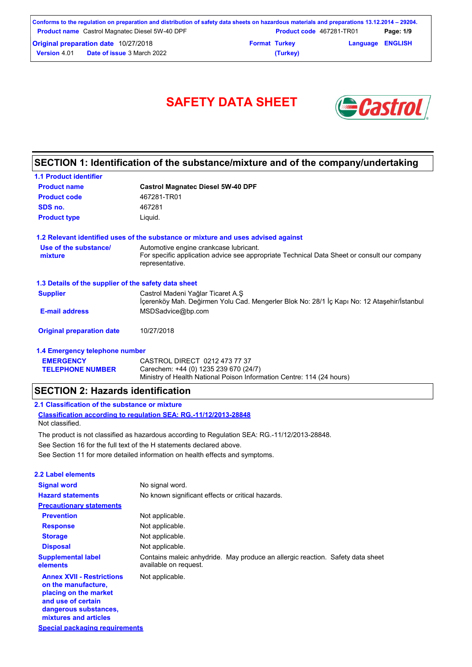| Conforms to the regulation on preparation and distribution of safety data sheets on hazardous materials and preparations 13.12.2014 – 29204. |                      |                                 |                         |           |
|----------------------------------------------------------------------------------------------------------------------------------------------|----------------------|---------------------------------|-------------------------|-----------|
| <b>Product name</b> Castrol Magnatec Diesel 5W-40 DPF                                                                                        |                      | <b>Product code</b> 467281-TR01 |                         | Page: 1/9 |
| <b>Original preparation date 10/27/2018</b>                                                                                                  | <b>Format Turkey</b> |                                 | <b>Language ENGLISH</b> |           |
| <b>Date of issue 3 March 2022</b><br><b>Version 4.01</b>                                                                                     |                      | (Turkey)                        |                         |           |

# SAFETY DATA SHEET **SAFETY**



## **SECTION 1: Identification of the substance/mixture and of the company/undertaking**

| <b>1.1 Product identifier</b>                        |                                                                                                                                                          |
|------------------------------------------------------|----------------------------------------------------------------------------------------------------------------------------------------------------------|
| <b>Product name</b>                                  | <b>Castrol Magnatec Diesel 5W-40 DPF</b>                                                                                                                 |
| <b>Product code</b>                                  | 467281-TR01                                                                                                                                              |
| SDS no.                                              | 467281                                                                                                                                                   |
| <b>Product type</b>                                  | Liquid.                                                                                                                                                  |
|                                                      | 1.2 Relevant identified uses of the substance or mixture and uses advised against                                                                        |
| Use of the substance/<br>mixture                     | Automotive engine crankcase lubricant.<br>For specific application advice see appropriate Technical Data Sheet or consult our company<br>representative. |
| 1.3 Details of the supplier of the safety data sheet |                                                                                                                                                          |
| <b>Supplier</b>                                      | Castrol Madeni Yağlar Ticaret A.Ş<br>Icerenköy Mah. Değirmen Yolu Cad. Mengerler Blok No: 28/1 İç Kapı No: 12 Ataşehir/İstanbul                          |
| <b>E-mail address</b>                                | MSDSadvice@bp.com                                                                                                                                        |
| <b>Original preparation date</b>                     | 10/27/2018                                                                                                                                               |
| 1.4 Emergency telephone number                       |                                                                                                                                                          |

#### **EMERGENCY TELEPHONE NUMBER** CASTROL DIRECT 0212 473 77 37 Carechem: +44 (0) 1235 239 670 (24/7) Ministry of Health National Poison Information Centre: 114 (24 hours)

## **SECTION 2: Hazards identification**

## **2.1 Classification of the substance or mixture**

**Classification according to regulation SEA: RG.-11/12/2013-28848** Not classified.

See Section 11 for more detailed information on health effects and symptoms. See Section 16 for the full text of the H statements declared above. The product is not classified as hazardous according to Regulation SEA: RG.-11/12/2013-28848.

| <b>2.2 Label elements</b>                                                                                                                                |                                                                                                         |
|----------------------------------------------------------------------------------------------------------------------------------------------------------|---------------------------------------------------------------------------------------------------------|
| <b>Signal word</b>                                                                                                                                       | No signal word.                                                                                         |
| <b>Hazard statements</b>                                                                                                                                 | No known significant effects or critical hazards.                                                       |
| <b>Precautionary statements</b>                                                                                                                          |                                                                                                         |
| <b>Prevention</b>                                                                                                                                        | Not applicable.                                                                                         |
| <b>Response</b>                                                                                                                                          | Not applicable.                                                                                         |
| <b>Storage</b>                                                                                                                                           | Not applicable.                                                                                         |
| <b>Disposal</b>                                                                                                                                          | Not applicable.                                                                                         |
| <b>Supplemental label</b><br>elements                                                                                                                    | Contains maleic anhydride. May produce an allergic reaction. Safety data sheet<br>available on request. |
| <b>Annex XVII - Restrictions</b><br>on the manufacture.<br>placing on the market<br>and use of certain<br>dangerous substances,<br>mixtures and articles | Not applicable.                                                                                         |
| Special packaging requirements                                                                                                                           |                                                                                                         |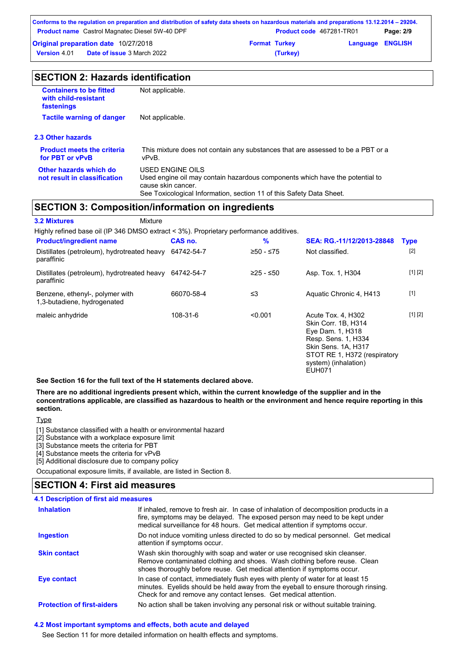| Conforms to the regulation on preparation and distribution of safety data sheets on hazardous materials and preparations 13.12.2014 – 29204. |                      |                                 |                         |           |
|----------------------------------------------------------------------------------------------------------------------------------------------|----------------------|---------------------------------|-------------------------|-----------|
| <b>Product name</b> Castrol Magnatec Diesel 5W-40 DPF                                                                                        |                      | <b>Product code</b> 467281-TR01 |                         | Page: 2/9 |
| <b>Original preparation date 10/27/2018</b>                                                                                                  | <b>Format Turkey</b> |                                 | <b>Language ENGLISH</b> |           |
| <b>Date of issue</b> 3 March 2022<br><b>Version</b> 4.01                                                                                     |                      | (Turkey)                        |                         |           |

| <b>SECTION 2: Hazards identification</b> |  |
|------------------------------------------|--|
|------------------------------------------|--|

| <b>Containers to be fitted</b><br>with child-resistant<br>fastenings | Not applicable.                                                                                                                                                                                |
|----------------------------------------------------------------------|------------------------------------------------------------------------------------------------------------------------------------------------------------------------------------------------|
| <b>Tactile warning of danger</b>                                     | Not applicable.                                                                                                                                                                                |
| 2.3 Other hazards                                                    |                                                                                                                                                                                                |
| <b>Product meets the criteria</b><br>for PBT or vPvB                 | This mixture does not contain any substances that are assessed to be a PBT or a<br>vPvB.                                                                                                       |
| Other hazards which do<br>not result in classification               | USED ENGINE OILS<br>Used engine oil may contain hazardous components which have the potential to<br>cause skin cancer.<br>See Toxicological Information, section 11 of this Safety Data Sheet. |
|                                                                      | SECTION 3: Composition/information on ingradiants                                                                                                                                              |

## **SECTION 3: Composition/information on ingredients**

| <b>3.2 Mixtures</b>                                                                    | Mixture |            |           |                                                                                                                                                                               |             |
|----------------------------------------------------------------------------------------|---------|------------|-----------|-------------------------------------------------------------------------------------------------------------------------------------------------------------------------------|-------------|
| Highly refined base oil (IP 346 DMSO extract < 3%). Proprietary performance additives. |         |            |           |                                                                                                                                                                               |             |
| <b>Product/ingredient name</b>                                                         |         | CAS no.    | %         | SEA: RG.-11/12/2013-28848                                                                                                                                                     | <b>Type</b> |
| Distillates (petroleum), hydrotreated heavy<br>paraffinic                              |         | 64742-54-7 | ≥50 - ≤75 | Not classified.                                                                                                                                                               | $[2]$       |
| Distillates (petroleum), hydrotreated heavy<br>paraffinic                              |         | 64742-54-7 | ≥25 - ≤50 | Asp. Tox. 1, H304                                                                                                                                                             | [1] [2]     |
| Benzene, ethenyl-, polymer with<br>1,3-butadiene, hydrogenated                         |         | 66070-58-4 | ≤3        | Aquatic Chronic 4, H413                                                                                                                                                       | $[1]$       |
| maleic anhydride                                                                       |         | 108-31-6   | < 0.001   | Acute Tox. 4. H302<br>Skin Corr. 1B, H314<br>Eye Dam. 1, H318<br>Resp. Sens. 1, H334<br>Skin Sens. 1A, H317<br>STOT RE 1, H372 (respiratory<br>system) (inhalation)<br>EUH071 | [1] [2]     |

**See Section 16 for the full text of the H statements declared above.**

#### **There are no additional ingredients present which, within the current knowledge of the supplier and in the concentrations applicable, are classified as hazardous to health or the environment and hence require reporting in this section.**

**Type** 

[1] Substance classified with a health or environmental hazard

[2] Substance with a workplace exposure limit

[3] Substance meets the criteria for PBT

[4] Substance meets the criteria for vPvB

[5] Additional disclosure due to company policy

Occupational exposure limits, if available, are listed in Section 8.

## **SECTION 4: First aid measures**

| <b>4.1 Description of first aid measures</b> |                                                                                                                                                                                                                                                     |
|----------------------------------------------|-----------------------------------------------------------------------------------------------------------------------------------------------------------------------------------------------------------------------------------------------------|
| <b>Inhalation</b>                            | If inhaled, remove to fresh air. In case of inhalation of decomposition products in a<br>fire, symptoms may be delayed. The exposed person may need to be kept under<br>medical surveillance for 48 hours. Get medical attention if symptoms occur. |
| <b>Ingestion</b>                             | Do not induce vomiting unless directed to do so by medical personnel. Get medical<br>attention if symptoms occur.                                                                                                                                   |
| <b>Skin contact</b>                          | Wash skin thoroughly with soap and water or use recognised skin cleanser.<br>Remove contaminated clothing and shoes. Wash clothing before reuse. Clean<br>shoes thoroughly before reuse. Get medical attention if symptoms occur.                   |
| Eye contact                                  | In case of contact, immediately flush eyes with plenty of water for at least 15<br>minutes. Eyelids should be held away from the eyeball to ensure thorough rinsing.<br>Check for and remove any contact lenses. Get medical attention.             |
| <b>Protection of first-aiders</b>            | No action shall be taken involving any personal risk or without suitable training.                                                                                                                                                                  |

### **4.2 Most important symptoms and effects, both acute and delayed**

See Section 11 for more detailed information on health effects and symptoms.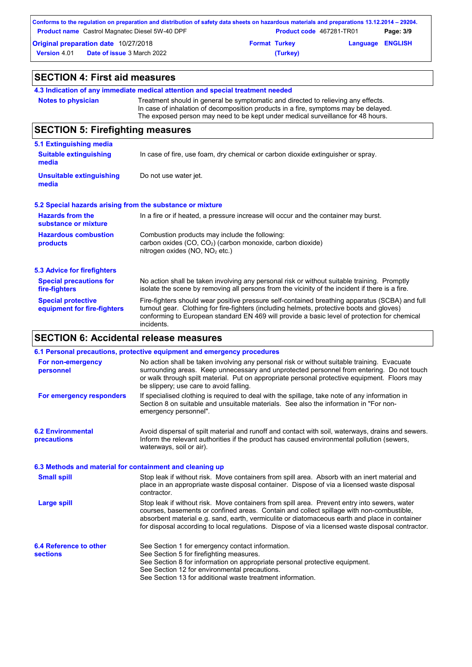|                     | Conforms to the regulation on preparation and distribution of safety data sheets on hazardous materials and preparations 13.12.2014 – 29204. |                      |                                 |                         |           |
|---------------------|----------------------------------------------------------------------------------------------------------------------------------------------|----------------------|---------------------------------|-------------------------|-----------|
|                     | <b>Product name</b> Castrol Magnatec Diesel 5W-40 DPF                                                                                        |                      | <b>Product code</b> 467281-TR01 |                         | Page: 3/9 |
|                     | <b>Original preparation date 10/27/2018</b>                                                                                                  | <b>Format Turkey</b> |                                 | <b>Language ENGLISH</b> |           |
| <b>Version</b> 4.01 | <b>Date of issue</b> 3 March 2022                                                                                                            |                      | (Turkey)                        |                         |           |

| <b>SECTION 4: First aid measures</b>                      |                                                                                                                                                                                                                                                                                                           |
|-----------------------------------------------------------|-----------------------------------------------------------------------------------------------------------------------------------------------------------------------------------------------------------------------------------------------------------------------------------------------------------|
|                                                           | 4.3 Indication of any immediate medical attention and special treatment needed                                                                                                                                                                                                                            |
| <b>Notes to physician</b>                                 | Treatment should in general be symptomatic and directed to relieving any effects.<br>In case of inhalation of decomposition products in a fire, symptoms may be delayed.<br>The exposed person may need to be kept under medical surveillance for 48 hours.                                               |
| <b>SECTION 5: Firefighting measures</b>                   |                                                                                                                                                                                                                                                                                                           |
| 5.1 Extinguishing media                                   |                                                                                                                                                                                                                                                                                                           |
| <b>Suitable extinguishing</b><br>media                    | In case of fire, use foam, dry chemical or carbon dioxide extinguisher or spray.                                                                                                                                                                                                                          |
| <b>Unsuitable extinguishing</b><br>media                  | Do not use water jet.                                                                                                                                                                                                                                                                                     |
| 5.2 Special hazards arising from the substance or mixture |                                                                                                                                                                                                                                                                                                           |
| <b>Hazards from the</b><br>substance or mixture           | In a fire or if heated, a pressure increase will occur and the container may burst.                                                                                                                                                                                                                       |
| <b>Hazardous combustion</b><br>products                   | Combustion products may include the following:<br>carbon oxides (CO, CO <sub>2</sub> ) (carbon monoxide, carbon dioxide)<br>nitrogen oxides (NO, NO <sub>2</sub> etc.)                                                                                                                                    |
| <b>5.3 Advice for firefighters</b>                        |                                                                                                                                                                                                                                                                                                           |
| <b>Special precautions for</b><br>fire-fighters           | No action shall be taken involving any personal risk or without suitable training. Promptly<br>isolate the scene by removing all persons from the vicinity of the incident if there is a fire.                                                                                                            |
| <b>Special protective</b><br>equipment for fire-fighters  | Fire-fighters should wear positive pressure self-contained breathing apparatus (SCBA) and full<br>turnout gear. Clothing for fire-fighters (including helmets, protective boots and gloves)<br>conforming to European standard EN 469 will provide a basic level of protection for chemical<br>incidents. |

# **SECTION 6: Accidental release measures**

|                                                          | 6.1 Personal precautions, protective equipment and emergency procedures                                                                                                                                                                                                                                                                                                                        |
|----------------------------------------------------------|------------------------------------------------------------------------------------------------------------------------------------------------------------------------------------------------------------------------------------------------------------------------------------------------------------------------------------------------------------------------------------------------|
| For non-emergency<br>personnel                           | No action shall be taken involving any personal risk or without suitable training. Evacuate<br>surrounding areas. Keep unnecessary and unprotected personnel from entering. Do not touch<br>or walk through spilt material. Put on appropriate personal protective equipment. Floors may<br>be slippery; use care to avoid falling.                                                            |
| For emergency responders                                 | If specialised clothing is required to deal with the spillage, take note of any information in<br>Section 8 on suitable and unsuitable materials. See also the information in "For non-<br>emergency personnel".                                                                                                                                                                               |
| <b>6.2 Environmental</b><br>precautions                  | Avoid dispersal of spilt material and runoff and contact with soil, waterways, drains and sewers.<br>Inform the relevant authorities if the product has caused environmental pollution (sewers,<br>waterways, soil or air).                                                                                                                                                                    |
| 6.3 Methods and material for containment and cleaning up |                                                                                                                                                                                                                                                                                                                                                                                                |
| <b>Small spill</b>                                       | Stop leak if without risk. Move containers from spill area. Absorb with an inert material and<br>place in an appropriate waste disposal container. Dispose of via a licensed waste disposal<br>contractor.                                                                                                                                                                                     |
| <b>Large spill</b>                                       | Stop leak if without risk. Move containers from spill area. Prevent entry into sewers, water<br>courses, basements or confined areas. Contain and collect spillage with non-combustible,<br>absorbent material e.g. sand, earth, vermiculite or diatomaceous earth and place in container<br>for disposal according to local regulations. Dispose of via a licensed waste disposal contractor. |
| 6.4 Reference to other<br><b>sections</b>                | See Section 1 for emergency contact information.<br>See Section 5 for firefighting measures.<br>See Section 8 for information on appropriate personal protective equipment.<br>See Section 12 for environmental precautions.<br>See Section 13 for additional waste treatment information.                                                                                                     |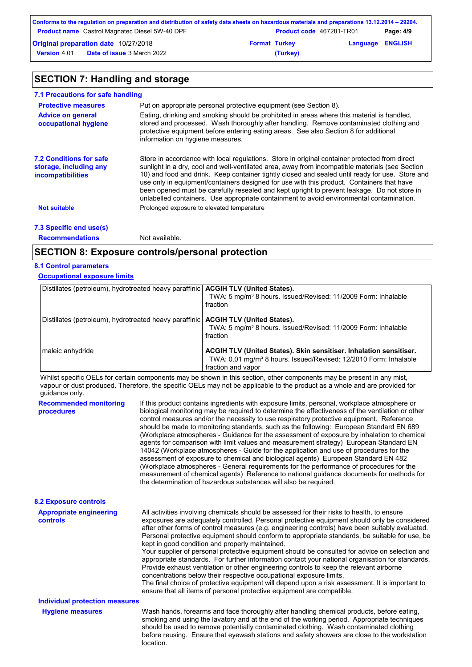|                     | Conforms to the regulation on preparation and distribution of safety data sheets on hazardous materials and preparations 13.12.2014 – 29204. |                      |                                 |                         |           |
|---------------------|----------------------------------------------------------------------------------------------------------------------------------------------|----------------------|---------------------------------|-------------------------|-----------|
|                     | <b>Product name</b> Castrol Magnatec Diesel 5W-40 DPF                                                                                        |                      | <b>Product code</b> 467281-TR01 |                         | Page: 4/9 |
|                     | Original preparation date 10/27/2018                                                                                                         | <b>Format Turkey</b> |                                 | <b>Language ENGLISH</b> |           |
| <b>Version 4.01</b> | <b>Date of issue</b> 3 March 2022                                                                                                            |                      | (Turkey)                        |                         |           |

# **SECTION 7: Handling and storage**

| 7.1 Precautions for safe handling                                                    |                                                                                                                                                                                                                                                                                                                                                                                                                                                                                                                                                                                             |
|--------------------------------------------------------------------------------------|---------------------------------------------------------------------------------------------------------------------------------------------------------------------------------------------------------------------------------------------------------------------------------------------------------------------------------------------------------------------------------------------------------------------------------------------------------------------------------------------------------------------------------------------------------------------------------------------|
| <b>Protective measures</b>                                                           | Put on appropriate personal protective equipment (see Section 8).                                                                                                                                                                                                                                                                                                                                                                                                                                                                                                                           |
| <b>Advice on general</b><br>occupational hygiene                                     | Eating, drinking and smoking should be prohibited in areas where this material is handled,<br>stored and processed. Wash thoroughly after handling. Remove contaminated clothing and<br>protective equipment before entering eating areas. See also Section 8 for additional<br>information on hygiene measures.                                                                                                                                                                                                                                                                            |
| <b>7.2 Conditions for safe</b><br>storage, including any<br><i>incompatibilities</i> | Store in accordance with local regulations. Store in original container protected from direct<br>sunlight in a dry, cool and well-ventilated area, away from incompatible materials (see Section<br>10) and food and drink. Keep container tightly closed and sealed until ready for use. Store and<br>use only in equipment/containers designed for use with this product. Containers that have<br>been opened must be carefully resealed and kept upright to prevent leakage. Do not store in<br>unlabelled containers. Use appropriate containment to avoid environmental contamination. |
| <b>Not suitable</b>                                                                  | Prolonged exposure to elevated temperature                                                                                                                                                                                                                                                                                                                                                                                                                                                                                                                                                  |
| 7.3 Specific end use(s)                                                              |                                                                                                                                                                                                                                                                                                                                                                                                                                                                                                                                                                                             |
| <b>Recommendations</b>                                                               | Not available.                                                                                                                                                                                                                                                                                                                                                                                                                                                                                                                                                                              |

## **SECTION 8: Exposure controls/personal protection**

## **8.1 Control parameters**

## **Occupational exposure limits**

| Distillates (petroleum), hydrotreated heavy paraffinic   ACGIH TLV (United States). | TWA: 5 mg/m <sup>3</sup> 8 hours. Issued/Revised: 11/2009 Form: Inhalable<br>fraction                                                                                    |
|-------------------------------------------------------------------------------------|--------------------------------------------------------------------------------------------------------------------------------------------------------------------------|
| Distillates (petroleum), hydrotreated heavy paraffinic   ACGIH TLV (United States). | TWA: 5 mg/m <sup>3</sup> 8 hours. Issued/Revised: 11/2009 Form: Inhalable<br>fraction                                                                                    |
| maleic anhydride                                                                    | ACGIH TLV (United States). Skin sensitiser. Inhalation sensitiser.<br>TWA: 0.01 mg/m <sup>3</sup> 8 hours. Issued/Revised: 12/2010 Form: Inhalable<br>fraction and vapor |

Whilst specific OELs for certain components may be shown in this section, other components may be present in any mist, vapour or dust produced. Therefore, the specific OELs may not be applicable to the product as a whole and are provided for guidance only.

| <b>Recommended monitoring</b><br>procedures | If this product contains ingredients with exposure limits, personal, workplace atmosphere or<br>biological monitoring may be required to determine the effectiveness of the ventilation or other<br>control measures and/or the necessity to use respiratory protective equipment. Reference<br>should be made to monitoring standards, such as the following: European Standard EN 689<br>(Workplace atmospheres - Guidance for the assessment of exposure by inhalation to chemical<br>agents for comparison with limit values and measurement strategy) European Standard EN<br>14042 (Workplace atmospheres - Guide for the application and use of procedures for the<br>assessment of exposure to chemical and biological agents) European Standard EN 482<br>(Workplace atmospheres - General requirements for the performance of procedures for the<br>measurement of chemical agents) Reference to national quidance documents for methods for<br>the determination of hazardous substances will also be required. |
|---------------------------------------------|----------------------------------------------------------------------------------------------------------------------------------------------------------------------------------------------------------------------------------------------------------------------------------------------------------------------------------------------------------------------------------------------------------------------------------------------------------------------------------------------------------------------------------------------------------------------------------------------------------------------------------------------------------------------------------------------------------------------------------------------------------------------------------------------------------------------------------------------------------------------------------------------------------------------------------------------------------------------------------------------------------------------------|
| <b>8.2 Exposure controls</b>                |                                                                                                                                                                                                                                                                                                                                                                                                                                                                                                                                                                                                                                                                                                                                                                                                                                                                                                                                                                                                                            |
| <b>Appropriate engineering</b><br>controls  | All activities involving chemicals should be assessed for their risks to health, to ensure<br>exposures are adequately controlled. Personal protective equipment should only be considered<br>after other forms of control measures (e.g. engineering controls) have been suitably evaluated.<br>Personal protective equipment should conform to appropriate standards, be suitable for use, be<br>kept in good condition and properly maintained.<br>Your supplier of personal protective equipment should be consulted for advice on selection and<br>appropriate standards. For further information contact your national organisation for standards.<br>Provide exhaust ventilation or other engineering controls to keep the relevant airborne<br>concentrations below their respective occupational exposure limits.<br>The final choice of protective equipment will depend upon a risk assessment. It is important to<br>ensure that all items of personal protective equipment are compatible.                    |
| <b>Individual protection measures</b>       |                                                                                                                                                                                                                                                                                                                                                                                                                                                                                                                                                                                                                                                                                                                                                                                                                                                                                                                                                                                                                            |
| <b>Hygiene measures</b>                     | Wash hands, forearms and face thoroughly after handling chemical products, before eating,<br>smoking and using the lavatory and at the end of the working period. Appropriate techniques<br>should be used to remove potentially contaminated clothing. Wash contaminated clothing<br>before reusing. Ensure that eyewash stations and safety showers are close to the workstation<br>location.                                                                                                                                                                                                                                                                                                                                                                                                                                                                                                                                                                                                                            |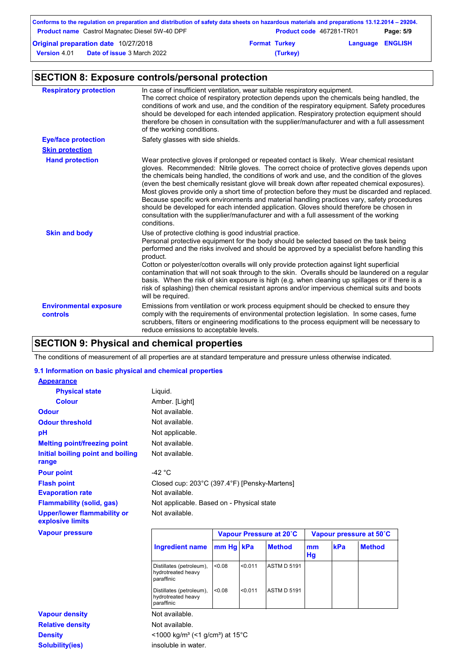|                     | Conforms to the regulation on preparation and distribution of safety data sheets on hazardous materials and preparations 13.12.2014 – 29204. |                      |                                 |                         |           |
|---------------------|----------------------------------------------------------------------------------------------------------------------------------------------|----------------------|---------------------------------|-------------------------|-----------|
|                     | <b>Product name</b> Castrol Magnatec Diesel 5W-40 DPF                                                                                        |                      | <b>Product code</b> 467281-TR01 |                         | Page: 5/9 |
|                     | <b>Original preparation date 10/27/2018</b>                                                                                                  | <b>Format Turkey</b> |                                 | <b>Language ENGLISH</b> |           |
| <b>Version 4.01</b> | <b>Date of issue 3 March 2022</b>                                                                                                            |                      | (Turkey)                        |                         |           |

# **SECTION 8: Exposure controls/personal protection**

| <b>Respiratory protection</b>                    | In case of insufficient ventilation, wear suitable respiratory equipment.<br>The correct choice of respiratory protection depends upon the chemicals being handled, the<br>conditions of work and use, and the condition of the respiratory equipment. Safety procedures<br>should be developed for each intended application. Respiratory protection equipment should<br>therefore be chosen in consultation with the supplier/manufacturer and with a full assessment<br>of the working conditions.                                                                                                                                                                                                                                                                                        |
|--------------------------------------------------|----------------------------------------------------------------------------------------------------------------------------------------------------------------------------------------------------------------------------------------------------------------------------------------------------------------------------------------------------------------------------------------------------------------------------------------------------------------------------------------------------------------------------------------------------------------------------------------------------------------------------------------------------------------------------------------------------------------------------------------------------------------------------------------------|
| <b>Eye/face protection</b>                       | Safety glasses with side shields.                                                                                                                                                                                                                                                                                                                                                                                                                                                                                                                                                                                                                                                                                                                                                            |
| <b>Skin protection</b>                           |                                                                                                                                                                                                                                                                                                                                                                                                                                                                                                                                                                                                                                                                                                                                                                                              |
| <b>Hand protection</b>                           | Wear protective gloves if prolonged or repeated contact is likely. Wear chemical resistant<br>gloves. Recommended: Nitrile gloves. The correct choice of protective gloves depends upon<br>the chemicals being handled, the conditions of work and use, and the condition of the gloves<br>(even the best chemically resistant glove will break down after repeated chemical exposures).<br>Most gloves provide only a short time of protection before they must be discarded and replaced.<br>Because specific work environments and material handling practices vary, safety procedures<br>should be developed for each intended application. Gloves should therefore be chosen in<br>consultation with the supplier/manufacturer and with a full assessment of the working<br>conditions. |
| <b>Skin and body</b>                             | Use of protective clothing is good industrial practice.<br>Personal protective equipment for the body should be selected based on the task being<br>performed and the risks involved and should be approved by a specialist before handling this<br>product.<br>Cotton or polyester/cotton overalls will only provide protection against light superficial<br>contamination that will not soak through to the skin. Overalls should be laundered on a regular<br>basis. When the risk of skin exposure is high (e.g. when cleaning up spillages or if there is a<br>risk of splashing) then chemical resistant aprons and/or impervious chemical suits and boots<br>will be required.                                                                                                        |
| <b>Environmental exposure</b><br><b>controls</b> | Emissions from ventilation or work process equipment should be checked to ensure they<br>comply with the requirements of environmental protection legislation. In some cases, fume<br>scrubbers, filters or engineering modifications to the process equipment will be necessary to<br>reduce emissions to acceptable levels.                                                                                                                                                                                                                                                                                                                                                                                                                                                                |

# **SECTION 9: Physical and chemical properties**

The conditions of measurement of all properties are at standard temperature and pressure unless otherwise indicated.

### **9.1 Information on basic physical and chemical properties**

| <b>Appearance</b>                                      |                 |                                              |  |
|--------------------------------------------------------|-----------------|----------------------------------------------|--|
| <b>Physical state</b>                                  | Liquid.         |                                              |  |
| <b>Colour</b>                                          | Amber. [Light]  |                                              |  |
| <b>Odour</b>                                           | Not available.  |                                              |  |
| <b>Odour threshold</b>                                 | Not available.  |                                              |  |
| рH                                                     | Not applicable. |                                              |  |
| <b>Melting point/freezing point</b>                    | Not available.  |                                              |  |
| Initial boiling point and boiling<br>range             | Not available.  |                                              |  |
| <b>Pour point</b>                                      | -42 °C          |                                              |  |
| <b>Flash point</b>                                     |                 | Closed cup: 203°C (397.4°F) [Pensky-Martens] |  |
| <b>Evaporation rate</b>                                | Not available.  |                                              |  |
| <b>Flammability (solid, gas)</b>                       |                 | Not applicable. Based on - Physical state    |  |
| <b>Upper/lower flammability or</b><br>explosive limits | Not available.  |                                              |  |
| <b>Vapour pressure</b>                                 |                 | Vapour Pressure at 20°C                      |  |

| <b>Vapour pressure</b>  |                                                              |                                                         |         | Vapour Pressure at 20°C | Vapour pressure at 50°C |            |               |
|-------------------------|--------------------------------------------------------------|---------------------------------------------------------|---------|-------------------------|-------------------------|------------|---------------|
|                         | <b>Ingredient name</b>                                       | mm Hg kPa                                               |         | <b>Method</b>           | mm<br>Hg                | <b>kPa</b> | <b>Method</b> |
|                         | Distillates (petroleum),<br>hydrotreated heavy<br>paraffinic | < 0.08                                                  | < 0.011 | <b>ASTM D 5191</b>      |                         |            |               |
|                         | Distillates (petroleum),<br>hydrotreated heavy<br>paraffinic | < 0.08                                                  | < 0.011 | <b>ASTM D 5191</b>      |                         |            |               |
| <b>Vapour density</b>   | Not available.                                               |                                                         |         |                         |                         |            |               |
| <b>Relative density</b> | Not available.                                               |                                                         |         |                         |                         |            |               |
| <b>Density</b>          |                                                              | <1000 kg/m <sup>3</sup> (<1 g/cm <sup>3</sup> ) at 15°C |         |                         |                         |            |               |
| <b>Solubility(ies)</b>  | insoluble in water.                                          |                                                         |         |                         |                         |            |               |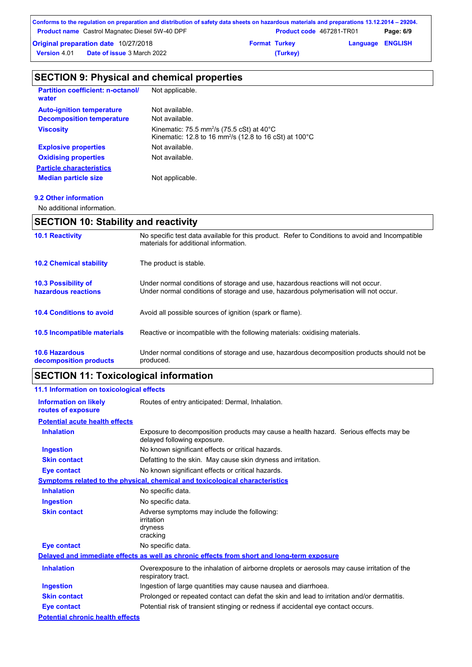| Conforms to the regulation on preparation and distribution of safety data sheets on hazardous materials and preparations 13.12.2014 – 29204. |                      |                                 |                         |           |
|----------------------------------------------------------------------------------------------------------------------------------------------|----------------------|---------------------------------|-------------------------|-----------|
| <b>Product name</b> Castrol Magnatec Diesel 5W-40 DPF                                                                                        |                      | <b>Product code</b> 467281-TR01 |                         | Page: 6/9 |
| <b>Original preparation date 10/27/2018</b>                                                                                                  | <b>Format Turkey</b> |                                 | <b>Language ENGLISH</b> |           |
| <b>Date of issue</b> 3 March 2022<br><b>Version 4.01</b>                                                                                     |                      | (Turkey)                        |                         |           |

# **SECTION 9: Physical and chemical properties**

| <b>Partition coefficient: n-octanol/</b><br>water | Not applicable.                                                                                                                                  |
|---------------------------------------------------|--------------------------------------------------------------------------------------------------------------------------------------------------|
| <b>Auto-ignition temperature</b>                  | Not available.                                                                                                                                   |
| <b>Decomposition temperature</b>                  | Not available.                                                                                                                                   |
| <b>Viscosity</b>                                  | Kinematic: 75.5 mm <sup>2</sup> /s (75.5 cSt) at $40^{\circ}$ C<br>Kinematic: 12.8 to 16 mm <sup>2</sup> /s (12.8 to 16 cSt) at 100 $^{\circ}$ C |
| <b>Explosive properties</b>                       | Not available.                                                                                                                                   |
| <b>Oxidising properties</b>                       | Not available.                                                                                                                                   |
| <b>Particle characteristics</b>                   |                                                                                                                                                  |
| <b>Median particle size</b>                       | Not applicable.                                                                                                                                  |

## **9.2 Other information**

No additional information.

## **SECTION 10: Stability and reactivity**

| <b>10.1 Reactivity</b>                            | No specific test data available for this product. Refer to Conditions to avoid and Incompatible<br>materials for additional information.                                |
|---------------------------------------------------|-------------------------------------------------------------------------------------------------------------------------------------------------------------------------|
| <b>10.2 Chemical stability</b>                    | The product is stable.                                                                                                                                                  |
| <b>10.3 Possibility of</b><br>hazardous reactions | Under normal conditions of storage and use, hazardous reactions will not occur.<br>Under normal conditions of storage and use, hazardous polymerisation will not occur. |
| <b>10.4 Conditions to avoid</b>                   | Avoid all possible sources of ignition (spark or flame).                                                                                                                |
| <b>10.5 Incompatible materials</b>                | Reactive or incompatible with the following materials: oxidising materials.                                                                                             |
| <b>10.6 Hazardous</b><br>decomposition products   | Under normal conditions of storage and use, hazardous decomposition products should not be<br>produced.                                                                 |

# **SECTION 11: Toxicological information**

| 11.1 Information on toxicological effects          |                                                                                                                     |
|----------------------------------------------------|---------------------------------------------------------------------------------------------------------------------|
| <b>Information on likely</b><br>routes of exposure | Routes of entry anticipated: Dermal, Inhalation.                                                                    |
| <b>Potential acute health effects</b>              |                                                                                                                     |
| <b>Inhalation</b>                                  | Exposure to decomposition products may cause a health hazard. Serious effects may be<br>delayed following exposure. |
| <b>Ingestion</b>                                   | No known significant effects or critical hazards.                                                                   |
| <b>Skin contact</b>                                | Defatting to the skin. May cause skin dryness and irritation.                                                       |
| <b>Eye contact</b>                                 | No known significant effects or critical hazards.                                                                   |
|                                                    | <b>Symptoms related to the physical, chemical and toxicological characteristics</b>                                 |
| <b>Inhalation</b>                                  | No specific data.                                                                                                   |
| <b>Ingestion</b>                                   | No specific data.                                                                                                   |
| <b>Skin contact</b>                                | Adverse symptoms may include the following:<br>irritation<br>dryness<br>cracking                                    |
| <b>Eye contact</b>                                 | No specific data.                                                                                                   |
|                                                    | Delayed and immediate effects as well as chronic effects from short and long-term exposure                          |
| <b>Inhalation</b>                                  | Overexposure to the inhalation of airborne droplets or aerosols may cause irritation of the<br>respiratory tract.   |
| <b>Ingestion</b>                                   | Ingestion of large quantities may cause nausea and diarrhoea.                                                       |
| <b>Skin contact</b>                                | Prolonged or repeated contact can defat the skin and lead to irritation and/or dermatitis.                          |
| Eye contact                                        | Potential risk of transient stinging or redness if accidental eye contact occurs.                                   |
| <b>Potential chronic health effects</b>            |                                                                                                                     |
|                                                    |                                                                                                                     |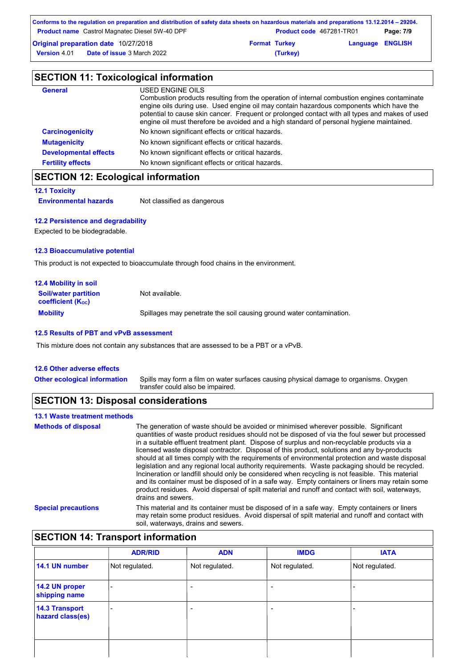| Conforms to the regulation on preparation and distribution of safety data sheets on hazardous materials and preparations 13.12.2014 – 29204. |                      |                                 |                         |           |
|----------------------------------------------------------------------------------------------------------------------------------------------|----------------------|---------------------------------|-------------------------|-----------|
| <b>Product name</b> Castrol Magnatec Diesel 5W-40 DPF                                                                                        |                      | <b>Product code</b> 467281-TR01 |                         | Page: 7/9 |
| <b>Original preparation date 10/27/2018</b>                                                                                                  | <b>Format Turkey</b> |                                 | <b>Language ENGLISH</b> |           |
| <b>Date of issue 3 March 2022</b><br><b>Version 4.01</b>                                                                                     |                      | (Turkey)                        |                         |           |

| <b>SECTION 11: Toxicological information</b> |                                                                                                                                                                                                                                                                                                                                                                                                          |  |  |
|----------------------------------------------|----------------------------------------------------------------------------------------------------------------------------------------------------------------------------------------------------------------------------------------------------------------------------------------------------------------------------------------------------------------------------------------------------------|--|--|
| <b>General</b>                               | USED ENGINE OILS<br>Combustion products resulting from the operation of internal combustion engines contaminate<br>engine oils during use. Used engine oil may contain hazardous components which have the<br>potential to cause skin cancer. Frequent or prolonged contact with all types and makes of used<br>engine oil must therefore be avoided and a high standard of personal hygiene maintained. |  |  |
| <b>Carcinogenicity</b>                       | No known significant effects or critical hazards.                                                                                                                                                                                                                                                                                                                                                        |  |  |
| <b>Mutagenicity</b>                          | No known significant effects or critical hazards.                                                                                                                                                                                                                                                                                                                                                        |  |  |
| <b>Developmental effects</b>                 | No known significant effects or critical hazards.                                                                                                                                                                                                                                                                                                                                                        |  |  |
| <b>Fertility effects</b>                     | No known significant effects or critical hazards.                                                                                                                                                                                                                                                                                                                                                        |  |  |

## **SECTION 12: Ecological information**

#### **12.1 Toxicity**

**Environmental hazards** Not classified as dangerous

### **12.2 Persistence and degradability**

Expected to be biodegradable.

#### **12.3 Bioaccumulative potential**

This product is not expected to bioaccumulate through food chains in the environment.

| <b>12.4 Mobility in soil</b>                            |                                                                      |
|---------------------------------------------------------|----------------------------------------------------------------------|
| <b>Soil/water partition</b><br><b>coefficient (Koc)</b> | Not available.                                                       |
| <b>Mobility</b>                                         | Spillages may penetrate the soil causing ground water contamination. |

#### **12.5 Results of PBT and vPvB assessment**

This mixture does not contain any substances that are assessed to be a PBT or a vPvB.

#### **12.6 Other adverse effects**

**Other ecological information**

Spills may form a film on water surfaces causing physical damage to organisms. Oxygen transfer could also be impaired.

## **SECTION 13: Disposal considerations**

## **13.1 Waste treatment methods**

| <b>Methods of disposal</b> | The generation of waste should be avoided or minimised wherever possible. Significant<br>quantities of waste product residues should not be disposed of via the foul sewer but processed<br>in a suitable effluent treatment plant. Dispose of surplus and non-recyclable products via a<br>licensed waste disposal contractor. Disposal of this product, solutions and any by-products<br>should at all times comply with the requirements of environmental protection and waste disposal<br>legislation and any regional local authority requirements. Waste packaging should be recycled.<br>Incineration or landfill should only be considered when recycling is not feasible. This material<br>and its container must be disposed of in a safe way. Empty containers or liners may retain some<br>product residues. Avoid dispersal of spilt material and runoff and contact with soil, waterways,<br>drains and sewers. |
|----------------------------|-------------------------------------------------------------------------------------------------------------------------------------------------------------------------------------------------------------------------------------------------------------------------------------------------------------------------------------------------------------------------------------------------------------------------------------------------------------------------------------------------------------------------------------------------------------------------------------------------------------------------------------------------------------------------------------------------------------------------------------------------------------------------------------------------------------------------------------------------------------------------------------------------------------------------------|
| <b>Special precautions</b> | This material and its container must be disposed of in a safe way. Empty containers or liners<br>may retain some product residues. Avoid dispersal of spilt material and runoff and contact with<br>soil, waterways, drains and sewers.                                                                                                                                                                                                                                                                                                                                                                                                                                                                                                                                                                                                                                                                                       |

# **SECTION 14: Transport information**

|                                           | <b>ADR/RID</b> | <b>ADN</b>               | <b>IMDG</b>              | <b>IATA</b>    |
|-------------------------------------------|----------------|--------------------------|--------------------------|----------------|
| 14.1 UN number                            | Not regulated. | Not regulated.           | Not regulated.           | Not regulated. |
| 14.2 UN proper<br>shipping name           |                | $\overline{\phantom{0}}$ | $\overline{\phantom{0}}$ |                |
| <b>14.3 Transport</b><br>hazard class(es) |                | $\overline{\phantom{a}}$ | $\overline{\phantom{0}}$ |                |
|                                           |                |                          |                          |                |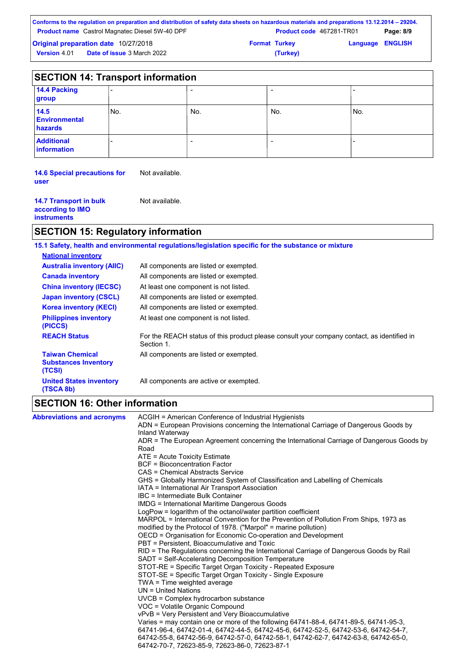| Conforms to the regulation on preparation and distribution of safety data sheets on hazardous materials and preparations 13.12.2014 – 29204. |  |                                 |                         |           |
|----------------------------------------------------------------------------------------------------------------------------------------------|--|---------------------------------|-------------------------|-----------|
| <b>Product name</b> Castrol Magnatec Diesel 5W-40 DPF                                                                                        |  | <b>Product code</b> 467281-TR01 |                         | Page: 8/9 |
| <b>Original preparation date 10/27/2018</b>                                                                                                  |  | <b>Format Turkey</b>            | <b>Language ENGLISH</b> |           |
| <b>Date of issue 3 March 2022</b><br><b>Version 4.01</b>                                                                                     |  | (Turkey)                        |                         |           |

|                                         | <b>SECTION 14: Transport information</b> |     |     |      |  |
|-----------------------------------------|------------------------------------------|-----|-----|------|--|
| 14.4 Packing<br>group                   |                                          |     | -   |      |  |
| 14.5<br><b>Environmental</b><br>hazards | No.                                      | No. | No. | 'No. |  |
| <b>Additional</b><br><b>information</b> |                                          |     | -   |      |  |

**14.6 Special precautions for**  Not available. **user**

| <b>14.7 Transport in bulk</b><br>according to IMO<br><b>instruments</b> | Not available. |
|-------------------------------------------------------------------------|----------------|
|-------------------------------------------------------------------------|----------------|

# **SECTION 15: Regulatory information**

|                                                                 | 15.1 Safety, health and environmental regulations/legislation specific for the substance or mixture      |
|-----------------------------------------------------------------|----------------------------------------------------------------------------------------------------------|
| <b>National inventory</b>                                       |                                                                                                          |
| <b>Australia inventory (AIIC)</b>                               | All components are listed or exempted.                                                                   |
| <b>Canada inventory</b>                                         | All components are listed or exempted.                                                                   |
| <b>China inventory (IECSC)</b>                                  | At least one component is not listed.                                                                    |
| <b>Japan inventory (CSCL)</b>                                   | All components are listed or exempted.                                                                   |
| <b>Korea inventory (KECI)</b>                                   | All components are listed or exempted.                                                                   |
| <b>Philippines inventory</b><br>(PICCS)                         | At least one component is not listed.                                                                    |
| <b>REACH Status</b>                                             | For the REACH status of this product please consult your company contact, as identified in<br>Section 1. |
| <b>Taiwan Chemical</b><br><b>Substances Inventory</b><br>(TCSI) | All components are listed or exempted.                                                                   |
| <b>United States inventory</b><br>(TSCA 8b)                     | All components are active or exempted.                                                                   |

# **SECTION 16: Other information**

| <b>Abbreviations and acronyms</b> | ACGIH = American Conference of Industrial Hygienists                                                                                         |
|-----------------------------------|----------------------------------------------------------------------------------------------------------------------------------------------|
|                                   | ADN = European Provisions concerning the International Carriage of Dangerous Goods by<br>Inland Waterway                                     |
|                                   | ADR = The European Agreement concerning the International Carriage of Dangerous Goods by                                                     |
|                                   | Road                                                                                                                                         |
|                                   | ATE = Acute Toxicity Estimate                                                                                                                |
|                                   | <b>BCF</b> = Bioconcentration Factor                                                                                                         |
|                                   | CAS = Chemical Abstracts Service                                                                                                             |
|                                   | GHS = Globally Harmonized System of Classification and Labelling of Chemicals                                                                |
|                                   | IATA = International Air Transport Association                                                                                               |
|                                   | IBC = Intermediate Bulk Container                                                                                                            |
|                                   | <b>IMDG</b> = International Maritime Dangerous Goods                                                                                         |
|                                   | LogPow = logarithm of the octanol/water partition coefficient                                                                                |
|                                   | MARPOL = International Convention for the Prevention of Pollution From Ships, 1973 as                                                        |
|                                   | modified by the Protocol of 1978. ("Marpol" = marine pollution)                                                                              |
|                                   | OECD = Organisation for Economic Co-operation and Development                                                                                |
|                                   | PBT = Persistent, Bioaccumulative and Toxic                                                                                                  |
|                                   | RID = The Regulations concerning the International Carriage of Dangerous Goods by Rail<br>SADT = Self-Accelerating Decomposition Temperature |
|                                   | STOT-RE = Specific Target Organ Toxicity - Repeated Exposure                                                                                 |
|                                   | STOT-SE = Specific Target Organ Toxicity - Single Exposure                                                                                   |
|                                   | TWA = Time weighted average                                                                                                                  |
|                                   | $UN = United Nations$                                                                                                                        |
|                                   | $UVCB = Complex\;hydrocarbon\; substance$                                                                                                    |
|                                   | VOC = Volatile Organic Compound                                                                                                              |
|                                   | vPvB = Very Persistent and Very Bioaccumulative                                                                                              |
|                                   | Varies = may contain one or more of the following 64741-88-4, 64741-89-5, 64741-95-3,                                                        |
|                                   | 64741-96-4, 64742-01-4, 64742-44-5, 64742-45-6, 64742-52-5, 64742-53-6, 64742-54-7,                                                          |
|                                   | 64742-55-8, 64742-56-9, 64742-57-0, 64742-58-1, 64742-62-7, 64742-63-8, 64742-65-0,                                                          |
|                                   | 64742-70-7, 72623-85-9, 72623-86-0, 72623-87-1                                                                                               |
|                                   |                                                                                                                                              |